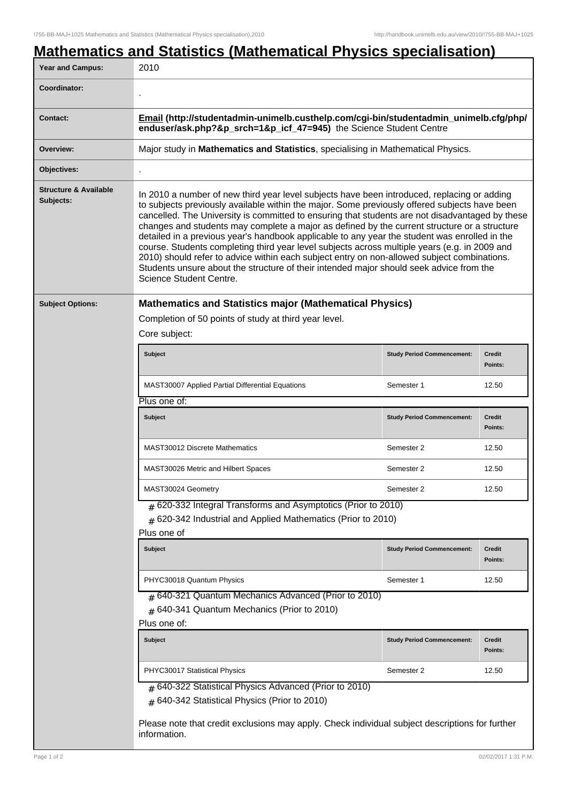## **Mathematics and Statistics (Mathematical Physics specialisation)** Year and Campus: 2010 **Coordinator:** . **Contact: Email (http://studentadmin-unimelb.custhelp.com/cgi-bin/studentadmin\_unimelb.cfg/php/ enduser/ask.php?&p\_srch=1&p\_icf\_47=945)** the Science Student Centre **Overview:** Major study in **Mathematics and Statistics**, specialising in Mathematical Physics. **Objectives:** . **Structure & Available Subjects:** In 2010 a number of new third year level subjects have been introduced, replacing or adding to subjects previously available within the major. Some previously offered subjects have been cancelled. The University is committed to ensuring that students are not disadvantaged by these changes and students may complete a major as defined by the current structure or a structure detailed in a previous year's handbook applicable to any year the student was enrolled in the course. Students completing third year level subjects across multiple years (e.g. in 2009 and 2010) should refer to advice within each subject entry on non-allowed subject combinations. Students unsure about the structure of their intended major should seek advice from the Science Student Centre. **Subject Options: Mathematics and Statistics major (Mathematical Physics)** Completion of 50 points of study at third year level. Core subject: **Subject Study Period Commencement: Credit Points:** MAST30007 Applied Partial Differential Equations Semester 1 12.50 Plus one of: **Subject Study Period Commencement: Credit Points:** MAST30012 Discrete Mathematics Semester 2 12.50 MAST30026 Metric and Hilbert Spaces Network Control Semester 2 12.50 MAST30024 Geometry and the semi-field of the Semester 2 12.50  $_{\rm \#}$  620-332 Integral Transforms and Asymptotics (Prior to 2010)  $_{\#}$  620-342 Industrial and Applied Mathematics (Prior to 2010) Plus one of **Subject Study Period Commencement: Credit Points:** PHYC30018 Quantum Physics **Network** 1 12.50 # 640-321 Quantum Mechanics Advanced (Prior to 2010)  ${}_{\#}$  640-341 Quantum Mechanics (Prior to 2010) Plus one of: **Subject Study Period Commencement: Credit Points:** PHYC30017 Statistical Physics **Semester 2** 12.50 # 640-322 Statistical Physics Advanced (Prior to 2010) # 640-342 Statistical Physics (Prior to 2010) Please note that credit exclusions may apply. Check individual subject descriptions for further information.